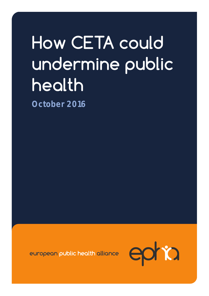# How CETA could undermine public health

**October 2016**

european public health alliance

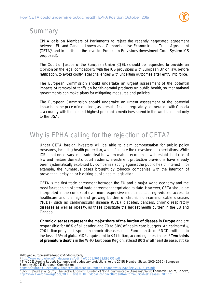

### Summary

EPHA calls on Members of Parliaments to reject the recently negotiated agreement between EU and Canada, known as a Comprehensive Economic and Trade Agreement (CETA)<sup>1</sup> , and in particular the Investor Protection Provisions (Investment Court System-ICS proposed).

The Court of Justice of the European Union (CJEU) should be requested to provide an Opinion on the legal compatibility with the ICS provisions with European Union law, before ratification, to avoid costly legal challenges with uncertain outcomes after entry into force.

The European Commission should undertake an urgent assessment of the potential impacts of removal of tariffs on health-harmful products on public health, so that national governments can make plans for mitigating measures and policies.

The European Commission should undertake an urgent assessment of the potential impacts on the price of medicines, as a result of closer regulatory cooperation with Canada a country with the second highest per capita medicines spend in the world, second only to the USA.

# Why is EPHA calling for the rejection of CETA?

Under CETA foreign investors will be able to claim compensation for public policy measures, including health protection, which frustrate their investment expectations. While ICS is not necessary in a trade deal between mature economies with established rule of law and mature domestic court systems, investment protection provisions have already been systematically exploited by companies acting against the public health interest – for example, the numerous cases brought by tobacco companies with the intention of preventing, delaying or blocking public health legislation.

CETA is the first trade agreement between the EU and a major world economy and the most far-reaching bilateral trade agreement negotiated to date. However, CETA should be interpreted in the context of ever-more expensive medicines causing reduced access to healthcare and the high and growing burden of chronic non-communicable diseases (NCDs), such as cardiovascular disease (CVD), diabetes, cancers, chronic respiratory diseases as well as obesity, as these constitute the largest health burden in the EU and Canada.

**Chronic diseases represent the major share of the burden of disease in Europe** and are responsible for 86% of all deaths<sup>2</sup> and 70 to 80% of health care budgets. An estimated  $\epsilon$ 700 billion per year is spent on chronic diseases in the European Union. <sup>3</sup> NCDs will lead to the loss of 5% of global GDP, equivalent to \$47 trillion, according to estimates.<sup>4</sup> **Two thirds of premature deaths** in the WHO European Region, at least 80% of all heart disease, stroke

l <sup>1</sup> http://ec.europa.eu/trade/policy/in-focus/ceta/

<sup>2</sup> [http://www.euro.who.int/\\_\\_data/assets/pdf\\_file/0008/96632/E93736.pdf](http://www.euro.who.int/__data/assets/pdf_file/0008/96632/E93736.pdf)

<sup>3</sup> The 2012 Ageing Report: Economic and budgetary projections for the 27 EU Member States (2010-2060), European Economy 2|2012.European Commission. finance/publications/european\_economy/2012/pdf/ee-2012-2\_en.pdf

<sup>&</sup>lt;sup>4</sup> Bloom, David et al. (2011), 'The Global Economic Burden of Non-Communicable Diseases', World Economic Forum, Geneva, http://www3.weforum.org/docs/WEF\_Harvard\_HE\_GlobalEconomicBurdenNonCommunicableDiseases\_2011.pdf http://edubalEconomicBurdenNonCommunicableDiseases\_2011.pdf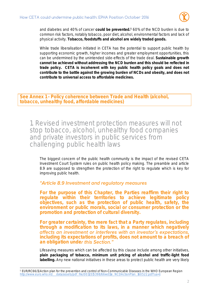

and diabetes and 40% of cancer **could be prevented.<sup>5</sup>** 60% of the NCD burden is due to common risk factors, notably tobacco, poor diet, alcohol, environmental factors and lack of physical activity. **Tobacco, foodstuffs and alcohol are widely traded goods.**

While trade liberalisation initiated in CETA has the potential to support public health by supporting economic growth, higher incomes and greater employment opportunities, this can be undermined by the unintended side-effects of the trade deal. **Sustainable growth cannot be achieved without addressing the NCD burden and this should be reflected in trade policy. CETA is incoherent with key public health policy goals and does not contribute to the battle against the growing burden of NCDs and obesity, and does not contribute to universal access to affordable medicines.**

**See Annex 1 - Policy coherence between Trade and Health (alcohol, tobacco, unhealthy food, affordable medicines)**

1. Revised investment protection measures will not stop tobacco, alcohol, unhealthy food companies and private investors in public services from challenging public health laws

The biggest concern of the public health community is the impact of the revised CETA Investment Court System rules on public health policy making. The preamble and article 8.9 are supposed to strengthen the protection of the right to regulate which is key for improving public health.

#### "Article 8.9 Investment and regulatory measures

**For the purpose of this Chapter, the Parties reaffirm their right to regulate within their territories to achieve legitimate policy objectives, such as the protection of public health, safety, the environment or public morals, social or consumer protection or the promotion and protection of cultural diversity.**

**For greater certainty, the mere fact that a Party regulates, including through a modification to its laws, in a manner which negatively**  affects an investment or interferes with an investor's expectations, **including its expectations of profits, does not amount to a breach of**  an obligation under **this Section.**"

Lifesaving measures which can be affected by this clause include among other initiatives, **plain packaging of tobacco, minimum unit pricing of alcohol and traffic-light food labelling.** Any new national initiatives in these areas to protect public health are very likely

l <sup>5</sup> EUR/RC66/11 Action plan for the prevention and control of Non-Communicable Diseases in the WHO European Region [http://www.euro.who.int/\\_\\_data/assets/pdf\\_file/0011/315398/66wd11e\\_NCDActionPlan\\_160522.pdf?ua=1](http://www.euro.who.int/__data/assets/pdf_file/0011/315398/66wd11e_NCDActionPlan_160522.pdf?ua=1)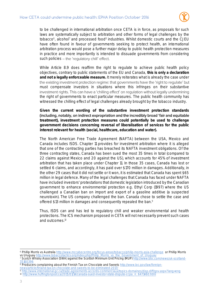

to be challenged in international arbitration once CETA is in force, as proposals for such laws are systematically subject to arbitration and other forms of legal challenges by the tobacco<sup>6</sup>, alcohol<sup>7</sup> and processed food<sup>8</sup> industries. Whilst domestic courts and the CJEU have often found in favour of governments seeking to protect health, an international arbitration process would pose a further major delay to public health protection measures in practice and more importantly is intended to dissuade governments from considering such policies - the 'regulatory chill' effect.

While Article 8.9 does reaffirm the right to regulate to achieve public health policy objectives, contrary to public statements of the EU and Canada, **this is only a declaration and not a legally enforceable measure.** It merely reiterates what is already the case under the existing investment protection regime: that governments have the 'right to regulate' but must compensate investors in situations where this infringes on their substantive investment rights. This can have a 'chilling effect' on regulation without legally undermining the right of governments to enact particular measures. The public health community has witnessed the chilling effect of legal challenges already brought by the tobacco industry.

**Given the current wording of the substantive investment protection standards**  (including, notably, on indirect expropriation and the incredibly broad 'fair and equitable **treatment), investment protection measures could potentially be used to challenge government decisions concerning reversal of liberalisation of services for the public interest relevant for health (social, healthcare, education and water).**

The North American Free Trade Agreement (NAFTA) between the USA, Mexico and Canada includes ISDS. Chapter 11 provides for investment arbitration where it is alleged that one of the contracting parties has breached its NAFTA investment obligations. Of the three contracting states, Canada has been sued the most 35 times in total (compared to 22 claims against Mexico and 20 against the US), which accounts for 45% of investment arbitration that has taken place under Chapter 11. In those 35 cases, Canada has lost or settled 6 claims, and accordingly, it has paid over \$170 million in damages. Additionally, in the other 29 cases that it did not settle or it won, it is estimated that Canada has spent \$65 million in legal defence. Many of the legal challenges that Canada has faced under NAFTA have included investors' protestations that domestic legislation introduced by the Canadian government to enhance environmental protection e.g. Ethyl Corp (1997) where the US challenged a Canadian ban on import and export of a gasoline additive (a suspected neurotoxin). The US company challenged the ban. Canada chose to settle the case and offered \$13 million in damages and consequently repealed the ban.<sup>9</sup>

Thus, ISDS can and has led to regulatory chill and weaker environmental and health protections. The ICS mechanism proposed in CETA will not necessarily prevent such cases and outcomes.<sup>10</sup>

l <sup>6</sup> Phillip Morris vs Australi[a http://www.mccabecentre.org/focus-areas/tobacco/philip-morris-asia-challenge](http://www.mccabecentre.org/focus-areas/tobacco/philip-morris-asia-challenge) or Phillip Morris vs Urugua[y http://www.tobaccotactics.org/index.php/Philip\\_Morris\\_vs\\_the\\_Government\\_of\\_Uruguay](http://www.tobaccotactics.org/index.php/Philip_Morris_vs_the_Government_of_Uruguay)

<sup>7</sup> Scotch Whisky Association (SWA) against the Scottish Minimum Unit Pricing (MUP[\) http://www.bbc.com/news/uk-scotland-](http://www.bbc.com/news/uk-scotland-35160396)[35160396](http://www.bbc.com/news/uk-scotland-35160396)

<sup>&</sup>lt;sup>8</sup> Producers complaining about the Finnish Tax on Chocolate and Sweets [http://www.loc.gov/law/foreign](http://www.loc.gov/law/foreign-news/article/finland-tax-on-chocolate-and-sweets-to-be-eliminated-2017/)[news/article/finland-tax-on-chocolate-and-sweets-to-be-eliminated-2017/](http://www.loc.gov/law/foreign-news/article/finland-tax-on-chocolate-and-sweets-to-be-eliminated-2017/)

<sup>9</sup> <http://www.international.gc.ca/trade-agreements-accords-commerciaux/topics-domaines/disp-diff/gov.aspx?lang=eng>

<sup>10</sup> [http://www.huffingtonpost.ca/2015/01/14/canada-sued-investor-state-dispute-ccpa\\_n\\_6471460.html](http://www.huffingtonpost.ca/2015/01/14/canada-sued-investor-state-dispute-ccpa_n_6471460.html)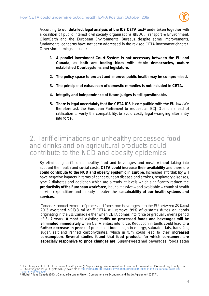

According to our **detailed, legal analysis of the ICS CETA text<sup>11</sup>** undertaken together with a coalition of public interest civil society organisations (BEUC, Transport & Environment, ClientEarth and the European Environmental Bureau), despite some improvements, fundamental concerns have not been addressed in the revised CETA investment chapter. Other shortcomings include:

- **1. A parallel Investment Court System is not necessary between the EU and Canada, as both are trading blocs with stable democracies, mature established Court systems and legislature.**
- **2. The policy space to protect and improve public health may be compromised.**
- **3. The principle of exhaustion of domestic remedies is not included in CETA.**
- **4. Integrity and independence of future judges is still questionable.**
- **5. There is legal uncertainty that the CETA ICS is compatible with the EU law.** We therefore ask the European Parliament to request an ECJ Opinion ahead of ratification to verify the compatibility, to avoid costly legal wrangling after entry into force.

#### 2. Tariff eliminations on unhealthy processed food and drinks and on agricultural products could contribute to the NCD and obesity epidemics

By eliminating tariffs on unhealthy food and beverages and meat, without taking into account the health and social costs, **CETA could increase their availability** and therefore **could contribute to the NCD and obesity epidemic in Europe**. Increased affordability will have negative impacts in terms of cancers, heart disease and strokes, respiratory diseases, type 2 diabetes and addiction which are already at levels which significantly reduce the **productivity of the European workforce, incur a massive – and avoidable – chunk of health** service expenditure and already threaten the **sustainability of our health systems and services**.

Canada's annual exports of processed foods and beverages into the EU between 2011 and 2013 averaged \$913.3 million. <sup>12</sup> CETA will remove 99% of customs duties on goods originating in the EU/Canada either when CETA comes into force or gradually over a period of 3- 7 years. **Almost all existing tariffs on processed foods and beverages will be eliminated immediately** when CETA enters into force. Reduction in tariffs could lead to **a further decrease in prices** of processed foods, high in energy, saturated fats, trans-fats, sugar, salt and refined carbohydrates, which in turn could lead to their **increased consumption**. **Several studies found that food products for which consumers are especially responsive to price changes are**: Sugar-sweetened beverages, foods eaten

<sup>|&</sup>lt;br>11 [http://epha.org/do-revised-investment-protection-rules-in-the-eu-canada-trade-deal-](http://epha.org/do-revised-investment-protection-rules-in-the-eu-canada-trade-deal-make-any-difference/)

[make-any-difference/](http://epha.org/do-revised-investment-protection-rules-in-the-eu-canada-trade-deal-make-any-difference/)<br><sup>12</sup> Global Affairs Canada (2014). Canada-European Union: Comprehensive Economic and Trade Agreement (CETA).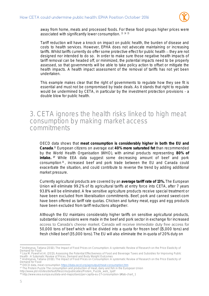

away from home, meats and processed foods. For these food groups higher prices were associated with significantly lower consumption. <sup>13</sup> <sup>14</sup> <sup>15</sup>

Tariff reduction will have a knock on impact on public health, the burden of disease and costs to health services. However, EPHA does not advocate maintaining or increasing tariffs. Whilst tariffs currently do offer some protective effect for public health - they are not designed nor intended to do so. In order to make sure those negative health impacts of tariff removal can be headed off, or minimized, the potential impacts need to be properly assessed, so that governments will be able to take policy action to offset or mitigate the health impacts. A health impact assessment of the removal of tariffs has not yet been undertaken.

This example makes clear that the right of governments to regulate how they see fit is essential and must not be compromised by trade deals. As it stands that right to regulate would be undermined by CETA, in particular by the investment protection provisions - a double blow for public health.

#### 3. CETA ignores the health risks linked to high meat consumption by making market access commitments

OECD data shows that **meat consumption is considerably higher in both the EU and Canada**. <sup>16</sup> European citizens on average eat **40% more saturated fat** than recommended by the World Health Organisation (WHO), with animal products representing **80% of intake. <sup>17</sup>** While EEA data suggest some decreasing amount of beef and pork consumption  $18$ , increased beef and pork trade between the EU and Canada could exacerbate the situation, and could contribute to reverse the trend by adding additional market pressure.

Currently agricultural products are covered by an **average tariff rate of 13%.** The European Union will eliminate 99.2% of its agricultural tariffs at entry force into CETA, after 7 years 93.8% will be eliminated. A few sensitive agriculture products receive special treatment or have been excluded from liberalisation commitments. Beef, pork and canned sweet-corn have been offered as tariff rate quotas. Chicken and turkey meat, eggs and egg products have been excluded from tariff reductions altogether.

Although the EU maintains considerably higher tariffs on sensitive agricultural products, substantial concessions were made in the beef and pork sector in exchange for increased access to Canada's cheese market. Canada will receive immediate duty free access for 50,000 tons of beef which will be divided into a quota for frozen beef (15,000 tons) and fresh chilled beef (35,000 tons). The EU will also eliminate the in-quota of 20% duty on

l <sup>13</sup> Andreyeva, Tatiana (2010). The Impact of Food Prices on Consumption: A systematic Review of Research on the Price Elasticity of

Demand for Food <sup>14</sup> Lisa M. Powell et Al. (2013). Assessing the Potential Effectiveness of Food and Beverage Taxes and Subsidies for Improving Public Health : A Sytematic Review of Prices, Demand and Body Weight Outcomes<br><sup>15</sup> Andreyeva, Tatiana (2010). The Impact of Food Prices on Consumption: A systematic Review of Research on the Price Elasticity of

Demand for Food

<sup>&</sup>lt;sup>16</sup> OECD data, meat consumption<https://data.oecd.org/agroutput/meat-consumption.htm>

<sup>&</sup>lt;sup>17</sup> The Protein Puzzle The consumption and production of meat, dairy and fish in the European Union

http://www.pbl.nl/sites/default/files/cms/publicaties/Protein\_Puzzle\_web\_1.pdf

<sup>18</sup> http://www.eea.europa.eu/data-and-maps/daviz/per-capita-eu-27-consumption-1#tab-chart\_1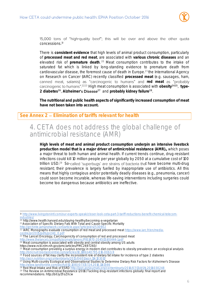

15,000 tons of "high-quality beef"; this will be over and above the other quota concessions.<sup>19</sup>

There is **consistent evidence** that high levels of animal product consumption, particularly of **processed meat and red meat**, are associated with **various chronic diseases** and an elevated risk of **premature death**. <sup>20</sup> Meat consumption contributes to the intake of saturated fat which is linked by long-standing evidence to premature death from cardiovascular disease, the foremost cause of death in Europe. <sup>21</sup> the International Agency on Research on Cancer (IARC) recently classified **processed meat** (e.g. sausages, ham, canned meat, salamis) as "carcinogenic to humans" and red meat as "probably <sup>2223</sup> High meat consumption is associated with **obesity<sup>2425</sup>** , **type-2 diabetes<sup>26</sup>** , **Alzheimer <sup>27</sup>** and **probably kidney failure<sup>28</sup>** .

**The nutritional and public health aspects of significantly increased consumption of meat have not been taken into account.**

**See Annex 2 Elimination of tariffs relevant for health** 

#### 4. CETA does not address the global challenge of antimicrobial resistance (AMR)

**High levels of meat and animal product consumption underpin an intensive livestock production model that is a major driver of antimicrobial resistance (AMR).,** which poses a major threat to both human and animal health. If current trends continue, drug-resistant infections could kill 10 million people per year globally by 2050 at a cumulative cost of 100 trillion USD.<sup>29</sup> So-called 'superbugs' are strains of bacteria that have become multi-drug resistant; their prevalence is largely fuelled by inappropriate use of antibiotics. All this means that highly contagious and/or potentially deadly diseases (e.g., pneumonia, cancer) could soon become incurable, whereas life-saving interventions including surgeries could become too dangerous because antibiotics are ineffective.

<sup>21</sup> Association of Specific Dietary Fats With Total and Cause-Specific Mortality

- <sup>23</sup> The Lancet Oncology, Carcinogenicity of consumption of red and processed meat
- http://www.thelancet.com/pdfs/journals/lanonc/PIIS1470-2045(15)00444-1.pd
- $24$  Meat consumption is associated with obesity and central obesity among US adults
- https://www.ncbi.nlm.nih.gov/pmc/articles/PMC2697260/

<sup>28</sup> Red Meat Intake and Risk of ESRD<http://jasn.asnjournals.org/content/early/2016/07/13/ASN.2016030248>

<sup>29</sup> The Review on Antimicrobial Resistance (2016) Tackling drug-resistant infections globally: final report and recommendations. http://bit.ly/1ToZXcw

 $\overline{a}$ <sup>19</sup> [http://www.livingstonintl.com/our-experts-speak/closer-look-ceta-part-3-tariff-reductions-benefit-chemical-telecom](http://www.livingstonintl.com/our-experts-speak/closer-look-ceta-part-3-tariff-reductions-benefit-chemical-telecom-industries/)industrie

<sup>&</sup>lt;sup>20</sup> <http://www.health.harvard.edu/staying-healthy/becoming-a-vegetarian>

http://archinte.jamanetwork.com/article.aspx?artic

<sup>&</sup>lt;sup>22</sup> IARC Monographs evaluate consumption of red meat and processed meat [https://www.iarc.fr/en/media](https://www.iarc.fr/en/media-centre/pr/2015/pdfs/pr240_E.pdf)[centre/pr/2015/pdfs/pr240\\_E.pdf](https://www.iarc.fr/en/media-centre/pr/2015/pdfs/pr240_E.pdf)

<sup>25</sup> Meat consumption providing a surplus energy in modern diet contributes to obesity prevalence: an ecological analysis <http://bmcnutr.biomedcentral.com/articles/10.1186/s40795-016-0063-9>

 $^{26}$  Food sources of fat may clarify the inconsistent role of dietary fat intake for incidence of type 2 diabetes <http://ajcn.nutrition.org/content/early/2015/04/01/ajcn.114.103010>

<sup>&</sup>lt;sup>27</sup> Using Multi-country Ecological and Observational Studies to Determine Dietary Risk Factors for Alzheimer's Disease <u>w.tandfonline.com/doi/full/10.1080/07315724.2016.1161566</u>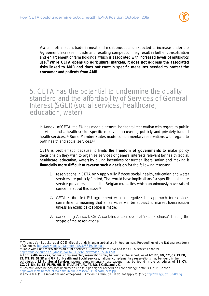

Via tariff elimination, trade in meat and meat products is expected to increase under the Agreement. Increase in trade and resulting competition may result in further consolidation and enlargement of farm holdings, which is associated with increased levels of antibiotics use.<sup>30</sup>**While CETA opens up agricultural markets, it does not address the associated risks linked to AMR and does not contain specific measures needed to protect the consumer and patients from AMR.** 

5. CETA has the potential to undermine the quality standard and the affordability of Services of General Interest (SGEI) (social services, healthcare, education, water)

In Annex I of CETA, the EU has made a general horizontal reservation with regard to public services, and a health sector specific reservation covering publicly and privately funded health services. <sup>31</sup> Some Member States made complementary reservations with regard to both health and social services.<sup>32</sup>

CETA is problematic because it **limits the freedom of governments** to make policy decisions on they wish to organise services of general interests relevant for health (social, healthcare, education, water) by giving incentives for further liberalisation and making it **financially more difficult to reverse such a decision** for the following reasons:

- 1. reservations in CETA only apply fully if those social, health, education and water services are publicly funded; That would have implications for specific healthcare service providers such as the Belgian mutualités which unanimously have raised concerns about this issue<sup>33</sup>
- 2. CETA is the first EU agreement with a 'negative list' approach for services commitments meaning that all services will be subject to market liberalisation unless an explicit exception is made;
- 3. concerning Annex I, CETA contains a controversial 'ratchet clause', limiting the scope of the reservations<sup>34</sup>

l 30 Thomas Van Boeckel et al. (2015) Global trends in antimicrobial use in food animals. Proceedings of the National Academy of Sciences. http://www.pnas.org/content/112/18/5649.abstra

<sup>&</sup>lt;sup>31</sup> Table with EU's reservations on public services  $-$  extracts from TiSA and the CETA services chapter

[http://trade.ec.europa.eu/doclib/docs/2015/february/tradoc\\_153173.pdf](http://trade.ec.europa.eu/doclib/docs/2015/february/tradoc_153173.pdf)

<sup>32</sup> For **Health services**, national complementary reservations may be found in the schedules of **AT, BE, BG, CY, CZ, FI, FR, LT, MT, PL, SI, SK and UK.** For **Health and Social** services, national complementary reservations may be found in the schedules of **LT**. For **Social Services** national complementary reservations may be found in the schedules of **BE, CY,** 

**CZ, DE, DK, EL, ES, FI, FR, HU, IE, IT, LT, MT, PL, PT, RO, SK, SL, and UK**.

<sup>33</sup> Les mutualités belges sont unanimes : Il ne faut pas signer l'accord de libre-échange entre l'UE et le Canada.<br>https://www.mc.be/actualite/communique-presse/2016/accord ceta.isp /actualite/communique-presse/2

<sup>34</sup> article 8.15 (c) Reservations and exceptions 1. Articles 8.4 through 8.8 do not apply to: (p 51)<http://ow.ly/Qcz0304DUfg>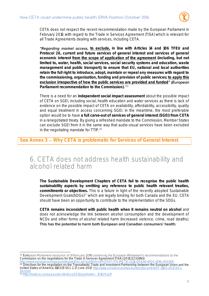

CETA does not respect the recent recommendation made by the European Parliament in February 2016 with regard to the Trade in Services Agreement (TiSA) which is relevant for all Trade Agreements dealing with services, including CETA.

"Regarding market access, to exclude, in line with Articles 14 and 106 TFEU and **Protocol 26, current and future services of general interest and services of general economic interest from the scope of application of the agreement (including, but not limited to, water, health, social services, social security systems and education, waste management and public transport); to ensure that EU, national and local authorities retain the full right to introduce, adopt, maintain or repeal any measures with regard to the commissioning, organisation, funding and provision of public services; to apply this** exclusion irrespective of how the public services are provided and funded" (**European Parliament recommendation to the Commission).** 35

There is a need for an **independent social impact assessment** about the possible impact of CETA on SGEI, including social, health education and water services as there is lack of evidence on the possible impact of CETA on availability, affordability, accessibility, quality and equal treatment in access concerning SGEI. In the meantime, the most preferable option would be to have **a full carve-out of services of general interest (SGEI) from CETA** in a renegotiated treaty. By giving a refreshed mandate to the Commission, Member States can exclude SGEI from it in the same way that audio-visual services have been excluded in the negotiating mandate for TTIP.<sup>36</sup>

See Annex 3 – Why CETA is problematic for Services of General Interest

#### 6. CETA does not address health sustainability and alcohol related harm

**The Sustainable Development Chapters of CETA fail to recognise the public health sustainability aspects by omitting any reference to public health relevant treaties, commitments or objectives.** This is a failure in light of the recently adopted Sustainable Development Goals(SDGs)<sup>37</sup> which are legally binding for both Canada and the EU. CETA should have been an opportunity to contribute to the implementation of the SDGs.

**CETA remains inconsistent with public health when it remains neutral on alcohol** and does not acknowledge the link between alcohol consumption and the development of NCDs and other forms of alcohol related harm (increased violence, crime, road deaths). This has the potential to harm both European and Canadian consumers' health.

l 35 European Parliament resolution of 3 February 2016 containing the European Parliament's recommendations to the Commission on the negotiations for the Trade in Services Agreement (TiSA) (2015/2233(INI))

<http://www.europarl.europa.eu/sides/getDoc.do?pubRef=-//EP//TEXT+TA+P8-TA-2016-0041+0+DOC+XML+V0//EN> 36 Directives for the negotiation on the Transatlantic Trade and Investment Partnership between the European Union and the United States of America 11103/13 DCL 1, 17 June 2013 http://data.consilium.europa.eu/doc/document/ST-11103-2013-D [1/en/pdf](http://data.consilium.europa.eu/doc/document/ST-11103-2013-DCL-1/en/pdf)

[http://trade.ec.europa.eu/doclib/docs/2013/july/tradoc\\_151626.pdf](http://trade.ec.europa.eu/doclib/docs/2013/july/tradoc_151626.pdf)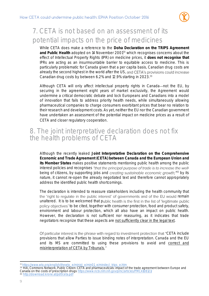

# 7. CETA is not based on an assessment of its potential impacts on the price of medicines

While CETA does make a reference to the **Doha Declaration on the TRIPS Agreement and Public Health** adopted on 14 November 2001<sup>38</sup> which recognises concerns about the effect of Intellectual Property Rights (IPR) on medicine prices, it **does not recognise that**  IPRs are acting as an insurmountable barrier to equitable access to medicine. This is particularly problematic for Canada given that a per capita basis, Canadian drug costs are already the second highest in the world after the US, and CETA's provisions could increase Canadian drug costs by between 6.2% and 12.9% starting in 2023.<sup>39</sup>

Although CETA will only affect intellectual property rights in Canada—not the EU, by securing in the agreement eight years of market exclusivity, the Agreement would undermine a critical democratic debate and lock Europeans and Canadians into a model of innovation that fails to address priority health needs, while simultaneously allowing pharmaceutical companies to charge consumers exorbitant prices that bear no relation to their research and development costs. As yet, neither the EU nor the Canadian government have undertaken an assessment of the potential impact on medicine prices as a result of CETA and closer regulatory cooperation.

#### 8. The joint interpretative declaration does not fix the health problems of CETA

Although the recently leaked **Joint Interpretative Declaration on the Comprehensive Economic and Trade Agreement (CETA) between Canada and the European Union and its Member States** makes positive statements mentioning public health among the public interest policies and recognises "that the principal purpose of trade is to increase the wellbeing of citizens, by supporting jobs and creating sustainable economic growth;"40 by its nature, it cannot re-open the already negotiated text and therefore cannot appropriately address the identified public health shortcomings.

The declaration is intended to reassure stakeholders including the health community that the 'right to regulate in the public interest' of governments and of the EU would remain unaltered. It is to be welcomed that public health is the first in the list of 'legitimate public policy objectives' to be cited, together with consumer protection, food and product safety, environment and labour protection, which all also have an impact on public health. However, the declaration is not sufficient nor reassuring, as it indicates that trade negotiators recognize that these aspects are not sufficiently clear in the legal text.

Of particular interest is the phrase with regard to investment protection that "CETA include" provisions that allow Parties to issue binding notes of interpretation. Canada and the EU and its MS are committed to using these provisions to avoid and correct and misinterpretation of CETA by Tribunals."

<sup>40</sup> <http://download.krone.at/pdf/ceta.pdf>

l <sup>38</sup> [https://www.wto.org/english/thewto\\_e/minist\\_e/min01\\_e/mindecl\\_trips\\_e.htm](https://www.wto.org/english/thewto_e/minist_e/min01_e/mindecl_trips_e.htm)

<sup>39</sup> HAI, Commons Network, Public Citizen: CETA and pharmaceuticals: impact of the trade agreement between Europe and Canada on the costs of prescription drug[s https://www.ncbi.nlm.nih.gov/pmc/articles/PMC4108121/](https://www.ncbi.nlm.nih.gov/pmc/articles/PMC4108121/)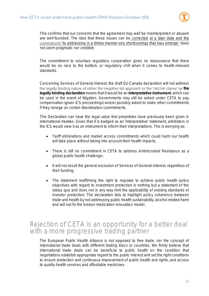

This confirms that our concerns that the agreement may well be misinterpreted or abused are well-founded. The idea that these issues can be corrected at a later date and the commitment "to addressing in a timely manner any shortcomings that may emerge" does not seem pragmatic nor credible.

The commitment to voluntary regulatory cooperation gives no reassurance that there would be no race to the bottom, or regulatory chill when it comes to health-relevant standards.

Concerning Services of General interest, the draft EU-Canada declaration will not address the legally binding nature of either the negative list approach or the 'ratchet clause' as the **legally binding declaration** means that it would be an **interpretative instrument**, which can be used in the event of litigation. Governments may still be asked under CETA to pay compensation (given ICS proceedings) and/or possibly asked to make other commitments if they renege on certain liberalisation commitments.

This Declaration can have the legal value that preambles have previously been given in international treaties. Given that it is badged as an 'interpretative' statement, arbitrators in the ICS would view it as an instrument to inform their interpretations. This is worrying as:

- Tariff eliminations and market access commitments which could harm our health will take place without taking into account their health impacts;
- There is still no commitment in CETA to address Antimicrobial Resistance as a global public health challenge;
- It will not result the general exclusion of Services of General Interest, regardless of their funding;
- The statement reaffirming the right to regulate to achieve public health policy objectives with regard to investment protection is nothing but a statement of the status quo and does not in any way limit the applicability of existing standards of investor protection; The declaration fails to highlight policy coherence between trade and health by not addressing public health sustainability, alcohol related harm and will not fix the broken medication innovation model.

#### Rejection of CETA is an opportunity for a better deal with a more progressive trading partner

The European Public Health Alliance is not opposed to free trade, nor the concept of international trade deals with different trading blocs or countries. We firmly believe that international trade deals can be beneficial to public health on the condition that negotiations establish appropriate regard to the public interest and set the right conditions to ensure protection and continuous improvement of public health and rights, and access to quality health services and affordable medicines.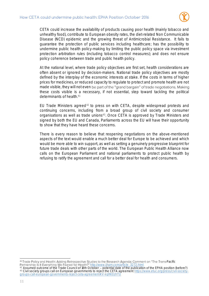

CETA could increase the availability of products causing poor health (mainly tobacco and unhealthy food), contribute to European obesity rates, the diet-related Non Communicable Disease (NCD) epidemic and the growing threat of Antimicrobial Resistance. It fails to guarantee the protection of public services including healthcare; has the possibility to undermine public health policy-making by limiting the public policy space via investment protection arbitration rules (including tobacco control measures); and does not ensure policy coherence between trade and public health policy.

At the national level, where trade policy objectives are first set, health considerations are often absent or ignored by decision-makers. National trade policy objectives are mostly defined by the interplay of the economic interests at stake. If the costs in terms of higher prices for medicines, or reduced capacity to regulate to protect and promote health are not made visible, they will not even be part of the "grand bargain" of trade negotiations. Making these costs visible is a necessary, if not essential, step toward tackling the political determinants of health. 41

EU Trade Ministers agreed<sup>42</sup> to press on with CETA, despite widespread protests and continuing concerns, including from a broad group of civil society and consumer organisations as well as trade unions<sup>43</sup>. Once CETA is approved by Trade Ministers and signed by both the EU and Canada, Parliaments across the EU will have their opportunity to show that they have heard these concerns.

There is every reason to believe that reopening negotiations on the above-mentioned aspects of the text would enable a much better deal for Europe to be achieved and which would be more able to win support, as well as setting a genuinely progressive blueprint for future trade deals with other parts of the world. The European Public Health Alliance now calls on the European Parliament and national parliaments to protect public health by refusing to ratify the agreement and call for a better deal for health and consumers.

l 41 Trade Policy and Health: Adding Retrospective Studies to the Research Agenda; Comment on "The Trans-Pacific [http://www.ijhpm.com/article\\_3272.html](http://www.ijhpm.com/article_3272.html)

 $^{42}$  Assumed outcome of the Trade Council of 18th October – potential date of the publication of the EPHA position (before?) 43 Civil society groups call on European governments to reject the CETA agreement https://www.etuc.org/press/civil-society-groups-call-european-governments-reject-ceta-agreement#.V-kgRK0zhTU opean-governments-reject-ceta-agreement#.V-kqRK0zhTU